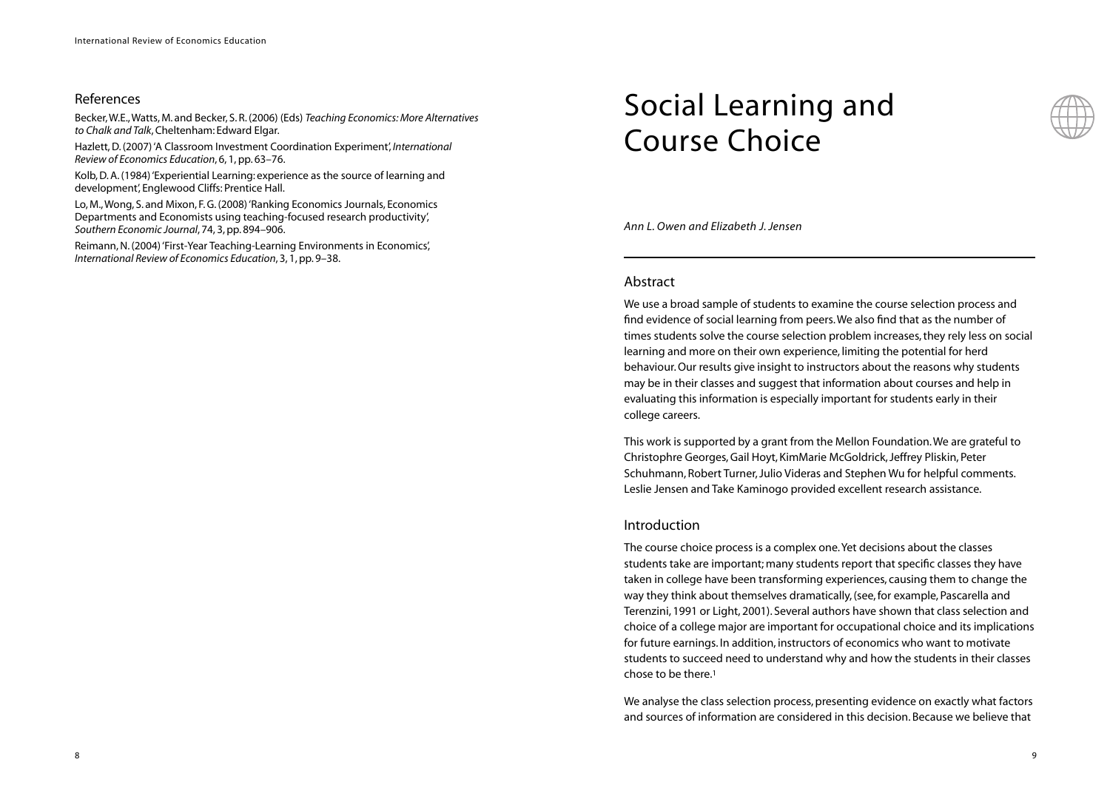# References

Becker, W.E., Watts, M. and Becker, S. R. (2006) (Eds) *Teaching Economics: More Alternatives to Chalk and Talk*, Cheltenham: Edward Elgar.

Hazlett, D. (2007) 'A Classroom Investment Coordination Experiment', *International Review of Economics Education*, 6, 1, pp. 63–76.

Kolb, D. A. (1984) 'Experiential Learning: experience as the source of learning and development', Englewood Cliffs: Prentice Hall.

Lo, M., Wong, S. and Mixon, F. G. (2008) 'Ranking Economics Journals, Economics Departments and Economists using teaching-focused research productivity', *Southern Economic Journal*, 74, 3, pp. 894–906.

Reimann, N. (2004) 'First-Year Teaching-Learning Environments in Economics', *International Review of Economics Education*, 3, 1, pp. 9–38.

# Social Learning and Course Choice

*Ann L. Owen and Elizabeth J. Jensen*

# Abstract

We use a broad sample of students to examine the course selection process and find evidence of social learning from peers.We also find that as the number of times students solve the course selection problem increases, they rely less on social learning and more on their own experience, limiting the potential for herd behaviour. Our results give insight to instructors about the reasons why students may be in their classes and suggest that information about courses and help in evaluating this information is especially important for students early in their college careers.

This work is supported by a grant from the Mellon Foundation.We are grateful to Christophre Georges, Gail Hoyt, KimMarie McGoldrick, Jeffrey Pliskin, Peter Schuhmann, Robert Turner,Julio Videras and Stephen Wu for helpful comments. Leslie Jensen and Take Kaminogo provided excellent research assistance.

## Introduction

The course choice process is a complex one.Yet decisions about the classes students take are important; many students report that specific classes they have taken in college have been transforming experiences, causing them to change the way they think about themselves dramatically, (see, for example, Pascarella and Terenzini, 1991 or Light, 2001). Several authors have shown that class selection and choice of a college major are important for occupational choice and its implications for future earnings. In addition, instructors of economics who want to motivate students to succeed need to understand why and how the students in their classes chose to be there.1

We analyse the class selection process, presenting evidence on exactly what factors and sources of information are considered in this decision. Because we believe that

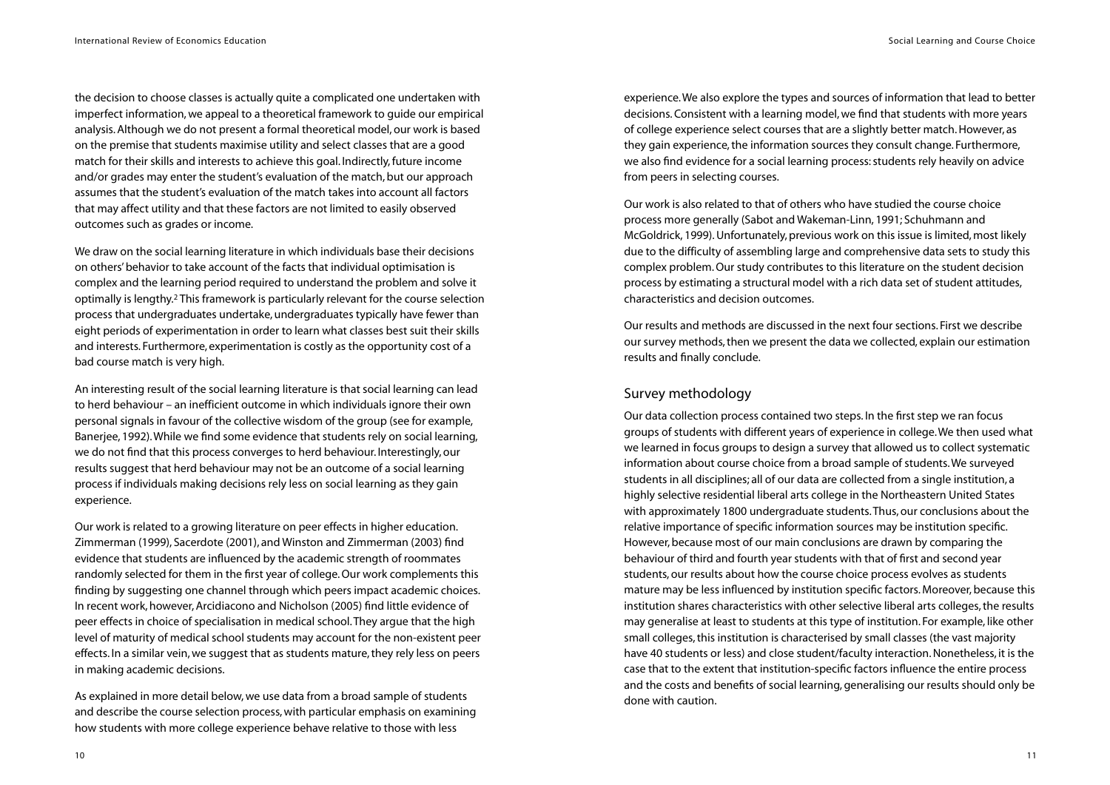the decision to choose classes is actually quite a complicated one undertaken with imperfect information, we appeal to a theoretical framework to guide our empirical analysis. Although we do not present a formal theoretical model, our work is based on the premise that students maximise utility and select classes that are a good match for their skills and interests to achieve this goal. Indirectly, future income and/or grades may enter the student's evaluation of the match, but our approach assumes that the student's evaluation of the match takes into account all factors that may affect utility and that these factors are not limited to easily observed outcomes such as grades or income.

We draw on the social learning literature in which individuals base their decisions on others' behavior to take account of the facts that individual optimisation is complex and the learning period required to understand the problem and solve it optimally is lengthy.2 This framework is particularly relevant for the course selection process that undergraduates undertake, undergraduates typically have fewer than eight periods of experimentation in order to learn what classes best suit their skills and interests. Furthermore, experimentation is costly as the opportunity cost of a bad course match is very high.

An interesting result of the social learning literature is that social learning can lead to herd behaviour – an inefficient outcome in which individuals ignore their own personal signals in favour of the collective wisdom of the group (see for example, Banerjee, 1992).While we find some evidence that students rely on social learning, we do not find that this process converges to herd behaviour. Interestingly, our results suggest that herd behaviour may not be an outcome of a social learning process if individuals making decisions rely less on social learning as they gain experience.

Our work is related to a growing literature on peer effects in higher education. Zimmerman (1999), Sacerdote (2001), and Winston and Zimmerman (2003) find evidence that students are influenced by the academic strength of roommates randomly selected for them in the first year of college.Our work complements this finding by suggesting one channel through which peers impact academic choices. In recent work, however, Arcidiacono and Nicholson (2005) find little evidence of peer effects in choice of specialisation in medical school.They argue that the high level of maturity of medical school students may account for the non-existent peer effects. In a similar vein, we suggest that as students mature, they rely less on peers in making academic decisions.

As explained in more detail below, we use data from a broad sample of students and describe the course selection process, with particular emphasis on examining how students with more college experience behave relative to those with less

experience.We also explore the types and sources of information that lead to better decisions. Consistent with a learning model, we find that students with more years of college experience select courses that are a slightly better match. However, as they gain experience, the information sources they consult change. Furthermore, we also find evidence for a social learning process: students rely heavily on advice from peers in selecting courses.

Our work is also related to that of others who have studied the course choice process more generally (Sabot and Wakeman-Linn, 1991; Schuhmann and McGoldrick, 1999). Unfortunately, previous work on this issue is limited, most likely due to the difficulty of assembling large and comprehensive data sets to study this complex problem. Our study contributes to this literature on the student decision process by estimating a structural model with a rich data set of student attitudes, characteristics and decision outcomes.

Our results and methods are discussed in the next four sections. First we describe our survey methods, then we present the data we collected, explain our estimation results and finally conclude.

# Survey methodology

Our data collection process contained two steps. In the first step we ran focus groups of students with different years of experience in college.We then used what we learned in focus groups to design a survey that allowed us to collect systematic information about course choice from a broad sample of students.We surveyed students in all disciplines; all of our data are collected from a single institution, a highly selective residential liberal arts college in the Northeastern United States with approximately 1800 undergraduate students.Thus, our conclusions about the relative importance of specific information sources may be institution specific. However, because most of our main conclusions are drawn by comparing the behaviour of third and fourth year students with that of first and second year students, our results about how the course choice process evolves as students mature may be less influenced by institution specific factors. Moreover, because this institution shares characteristics with other selective liberal arts colleges, the results may generalise at least to students at this type of institution. For example, like other small colleges, this institution is characterised by small classes (the vast majority have 40 students or less) and close student/faculty interaction. Nonetheless, it is the case that to the extent that institution-specific factors influence the entire process and the costs and benefits of social learning, generalising our results should only be done with caution.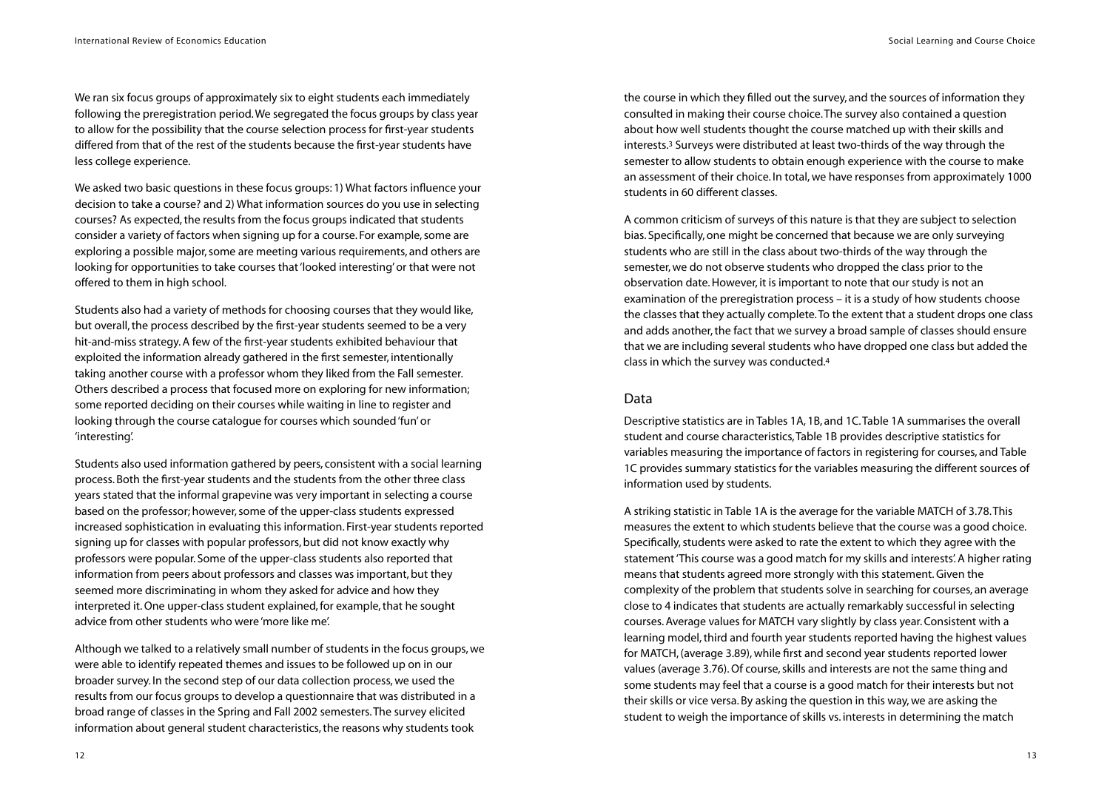We ran six focus groups of approximately six to eight students each immediately following the preregistration period.We segregated the focus groups by class year to allow for the possibility that the course selection process for first-year students differed from that of the rest of the students because the first-year students have less college experience.

We asked two basic questions in these focus groups: 1) What factors influence your decision to take a course? and 2) What information sources do you use in selecting courses? As expected, the results from the focus groups indicated that students consider a variety of factors when signing up for a course. For example, some are exploring a possible major, some are meeting various requirements, and others are looking for opportunities to take courses that 'looked interesting' or that were not offered to them in high school.

Students also had a variety of methods for choosing courses that they would like, but overall, the process described by the first-year students seemed to be a very hit-and-miss strategy. A few of the first-year students exhibited behaviour that exploited the information already gathered in the first semester, intentionally taking another course with a professor whom they liked from the Fall semester. Others described a process that focused more on exploring for new information; some reported deciding on their courses while waiting in line to register and looking through the course catalogue for courses which sounded 'fun' or 'interesting'.

Students also used information gathered by peers, consistent with a social learning process. Both the first-year students and the students from the other three class years stated that the informal grapevine was very important in selecting a course based on the professor; however, some of the upper-class students expressed increased sophistication in evaluating this information. First-year students reported signing up for classes with popular professors, but did not know exactly why professors were popular. Some of the upper-class students also reported that information from peers about professors and classes was important, but they seemed more discriminating in whom they asked for advice and how they interpreted it. One upper-class student explained, for example, that he sought advice from other students who were 'more like me'.

Although we talked to a relatively small number of students in the focus groups, we were able to identify repeated themes and issues to be followed up on in our broader survey. In the second step of our data collection process, we used the results from our focus groups to develop a questionnaire that was distributed in a broad range of classes in the Spring and Fall 2002 semesters.The survey elicited information about general student characteristics, the reasons why students took

the course in which they filled out the survey, and the sources of information they consulted in making their course choice.The survey also contained a question about how well students thought the course matched up with their skills and interests.3 Surveys were distributed at least two-thirds of the way through the semester to allow students to obtain enough experience with the course to make an assessment of their choice. In total, we have responses from approximately 1000 students in 60 different classes.

A common criticism of surveys of this nature is that they are subject to selection bias. Specifically, one might be concerned that because we are only surveying students who are still in the class about two-thirds of the way through the semester, we do not observe students who dropped the class prior to the observation date. However, it is important to note that our study is not an examination of the preregistration process – it is a study of how students choose the classes that they actually complete.To the extent that a student drops one class and adds another, the fact that we survey a broad sample of classes should ensure that we are including several students who have dropped one class but added the class in which the survey was conducted.4

# Data

Descriptive statistics are in Tables 1A, 1B, and 1C.Table 1A summarises the overall student and course characteristics,Table 1B provides descriptive statistics for variables measuring the importance of factors in registering for courses, and Table 1C provides summary statistics for the variables measuring the different sources of information used by students.

A striking statistic in Table 1A is the average for the variable MATCH of 3.78.This measures the extent to which students believe that the course was a good choice. Specifically, students were asked to rate the extent to which they agree with the statement 'This course was a good match for my skills and interests'. A higher rating means that students agreed more strongly with this statement. Given the complexity of the problem that students solve in searching for courses, an average close to 4 indicates that students are actually remarkably successful in selecting courses. Average values for MATCH vary slightly by class year. Consistent with a learning model, third and fourth year students reported having the highest values for MATCH, (average 3.89), while first and second year students reported lower values (average 3.76). Of course, skills and interests are not the same thing and some students may feel that a course is a good match for their interests but not their skills or vice versa. By asking the question in this way, we are asking the student to weigh the importance of skills vs. interests in determining the match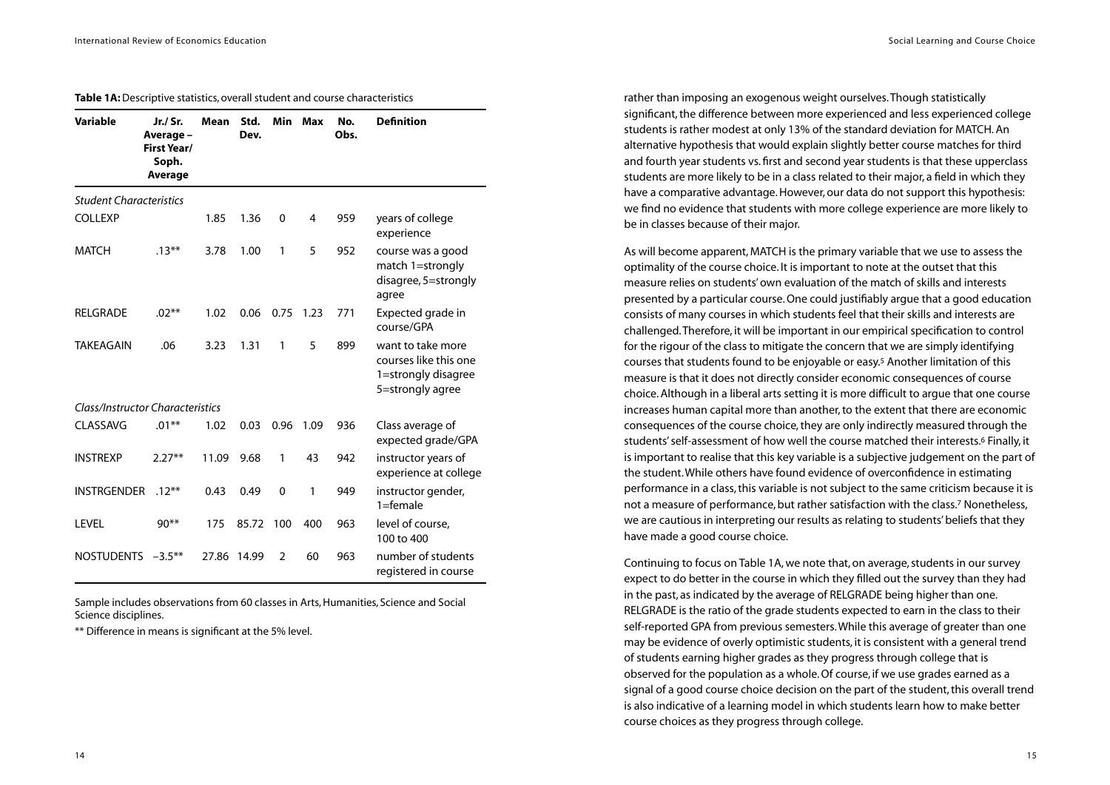| <b>Variable</b>                         | Jr./ Sr.<br>Average -<br><b>First Year/</b><br>Soph.<br>Average | <b>Mean</b> | Std.<br>Dev. | Min           | Max  | No.<br>Obs. | <b>Definition</b>                                                                     |
|-----------------------------------------|-----------------------------------------------------------------|-------------|--------------|---------------|------|-------------|---------------------------------------------------------------------------------------|
| <b>Student Characteristics</b>          |                                                                 |             |              |               |      |             |                                                                                       |
| <b>COLLEXP</b>                          |                                                                 | 1.85        | 1.36         | 0             | 4    | 959         | years of college<br>experience                                                        |
| <b>MATCH</b>                            | $.13***$                                                        | 3.78        | 1.00         | 1             | 5    | 952         | course was a good<br>match 1=strongly<br>disagree, 5=strongly<br>agree                |
| RELGRADE                                | $.02**$                                                         | 1.02        | 0.06         | 0.75          | 1.23 | 771         | Expected grade in<br>course/GPA                                                       |
| <b>TAKEAGAIN</b>                        | .06                                                             | 3.23        | 1.31         | 1             | 5    | 899         | want to take more<br>courses like this one<br>1=strongly disagree<br>5=strongly agree |
| <b>Class/Instructor Characteristics</b> |                                                                 |             |              |               |      |             |                                                                                       |
| <b>CLASSAVG</b>                         | $.01***$                                                        | 1.02        | 0.03         | 0.96          | 1.09 | 936         | Class average of<br>expected grade/GPA                                                |
| <b>INSTREXP</b>                         | $2.27**$                                                        | 11.09       | 9.68         | 1             | 43   | 942         | instructor years of<br>experience at college                                          |
| <b>INSTRGENDER</b>                      | $.12***$                                                        | 0.43        | 0.49         | 0             | 1    | 949         | instructor gender,<br>$1 = female$                                                    |
| <b>LEVEL</b>                            | $90**$                                                          | 175         | 85.72        | 100           | 400  | 963         | level of course,<br>100 to 400                                                        |
| <b>NOSTUDENTS</b>                       | $-3.5***$                                                       | 27.86       | 14.99        | $\mathcal{P}$ | 60   | 963         | number of students<br>registered in course                                            |

Sample includes observations from 60 classes in Arts, Humanities, Science and Social Science disciplines.

\*\* Difference in means is significant at the 5% level.

rather than imposing an exogenous weight ourselves.Though statistically significant, the difference between more experienced and less experienced college students is rather modest at only 13% of the standard deviation for MATCH. An alternative hypothesis that would explain slightly better course matches for third and fourth year students vs. first and second year students is that these upperclass students are more likely to be in a class related to their major, a field in which they have a comparative advantage. However, our data do not support this hypothesis: we find no evidence that students with more college experience are more likely to be in classes because of their major.

As will become apparent, MATCH is the primary variable that we use to assess the optimality of the course choice. It is important to note at the outset that this measure relies on students' own evaluation of the match of skills and interests presented by a particular course. One could justifiably argue that a good education consists of many courses in which students feel that their skills and interests are challenged.Therefore, it will be important in our empirical specification to control for the rigour of the class to mitigate the concern that we are simply identifying courses that students found to be enjoyable or easy.5 Another limitation of this measure is that it does not directly consider economic consequences of course choice. Although in a liberal arts setting it is more difficult to argue that one course increases human capital more than another, to the extent that there are economic consequences of the course choice, they are only indirectly measured through the students' self-assessment of how well the course matched their interests.6 Finally, it is important to realise that this key variable is a subjective judgement on the part of the student.While others have found evidence of overconfidence in estimating performance in a class, this variable is not subject to the same criticism because it is not a measure of performance, but rather satisfaction with the class.7 Nonetheless, we are cautious in interpreting our results as relating to students' beliefs that they have made a good course choice.

Continuing to focus on Table 1A, we note that, on average, students in our survey expect to do better in the course in which they filled out the survey than they had in the past, as indicated by the average of RELGRADE being higher than one. RELGRADE is the ratio of the grade students expected to earn in the class to their self-reported GPA from previous semesters.While this average of greater than one may be evidence of overly optimistic students, it is consistent with a general trend of students earning higher grades as they progress through college that is observed for the population as a whole. Of course, if we use grades earned as a signal of a good course choice decision on the part of the student, this overall trend is also indicative of a learning model in which students learn how to make better course choices as they progress through college.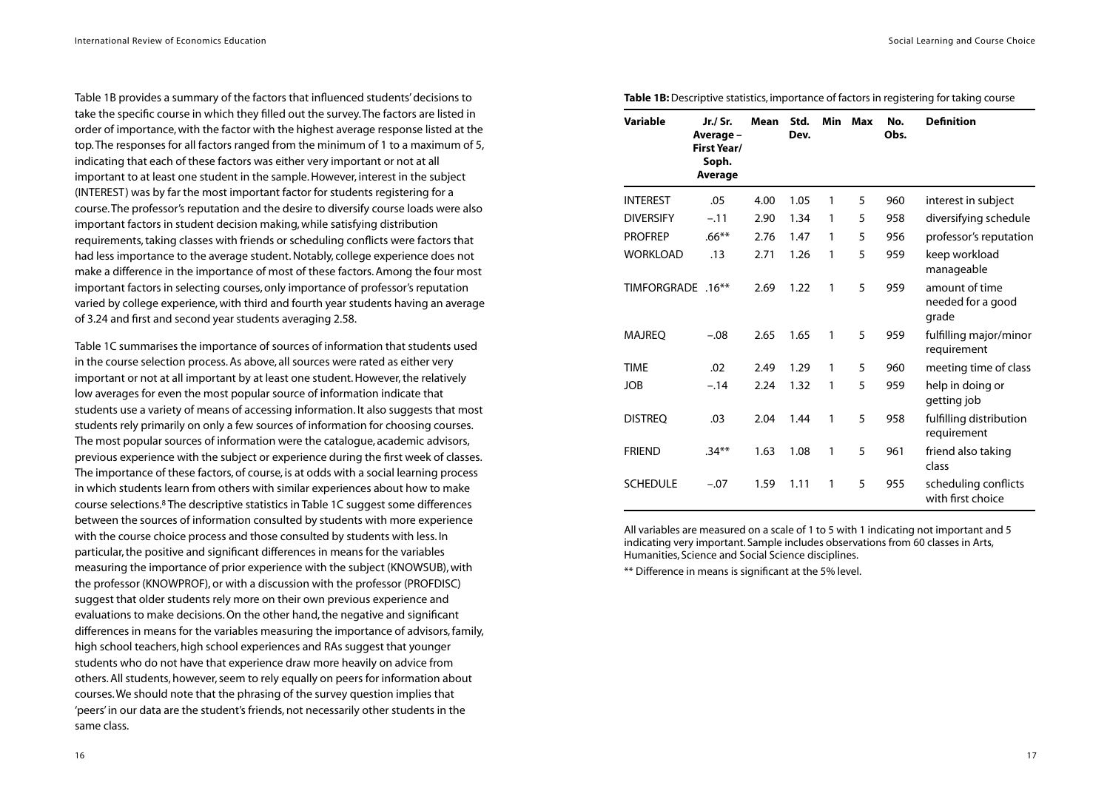Table 1B provides a summary of the factors that influenced students' decisions to take the specific course in which they filled out the survey.The factors are listed in order of importance, with the factor with the highest average response listed at the top.The responses for all factors ranged from the minimum of 1 to a maximum of 5, indicating that each of these factors was either very important or not at all important to at least one student in the sample. However, interest in the subject (INTEREST) was by far the most important factor for students registering for a course.The professor's reputation and the desire to diversify course loads were also important factors in student decision making, while satisfying distribution requirements, taking classes with friends or scheduling conflicts were factors that had less importance to the average student. Notably, college experience does not make a difference in the importance of most of these factors. Among the four most important factors in selecting courses, only importance of professor's reputation varied by college experience, with third and fourth year students having an average of 3.24 and first and second year students averaging 2.58.

Table 1C summarises the importance of sources of information that students used in the course selection process. As above, all sources were rated as either very important or not at all important by at least one student. However, the relatively low averages for even the most popular source of information indicate that students use a variety of means of accessing information. It also suggests that most students rely primarily on only a few sources of information for choosing courses. The most popular sources of information were the catalogue, academic advisors, previous experience with the subject or experience during the first week of classes. The importance of these factors, of course, is at odds with a social learning process in which students learn from others with similar experiences about how to make course selections. <sup>8</sup> The descriptive statistics in Table 1C suggest some differences between the sources of information consulted by students with more experience with the course choice process and those consulted by students with less. In particular, the positive and significant differences in means for the variables measuring the importance of prior experience with the subject (KNOWSUB), with the professor (KNOWPROF), or with a discussion with the professor (PROFDISC) suggest that older students rely more on their own previous experience and evaluations to make decisions. On the other hand, the negative and significant differences in means for the variables measuring the importance of advisors, family, high school teachers, high school experiences and RAs suggest that younger students who do not have that experience draw more heavily on advice from others. All students, however, seem to rely equally on peers for information about courses.We should note that the phrasing of the survey question implies that 'peers' in our data are the student's friends, not necessarily other students in the same class.

**Table 1B:**Descriptive statistics, importance of factors in registering for taking course

| <b>Variable</b>   | Jr./ Sr.<br>Average –<br><b>First Year/</b><br>Soph.<br>Average | <b>Mean</b> | Std.<br>Dev. | Min | Max | No.<br>Obs. | <b>Definition</b>                            |
|-------------------|-----------------------------------------------------------------|-------------|--------------|-----|-----|-------------|----------------------------------------------|
| <b>INTEREST</b>   | .05                                                             | 4.00        | 1.05         | 1   | 5   | 960         | interest in subject                          |
| <b>DIVERSIFY</b>  | $-.11$                                                          | 2.90        | 1.34         | 1   | 5   | 958         | diversifying schedule                        |
| <b>PROFREP</b>    | $.66***$                                                        | 2.76        | 1.47         | 1   | 5   | 956         | professor's reputation                       |
| <b>WORKLOAD</b>   | .13                                                             | 2.71        | 1.26         | 1   | 5   | 959         | keep workload<br>manageable                  |
| TIMFORGRADE .16** |                                                                 | 2.69        | 1.22         | 1   | 5   | 959         | amount of time<br>needed for a good<br>grade |
| <b>MAJREO</b>     | $-.08$                                                          | 2.65        | 1.65         | 1   | 5   | 959         | fulfilling major/minor<br>requirement        |
| <b>TIMF</b>       | .02                                                             | 2.49        | 1.29         | 1   | 5   | 960         | meeting time of class                        |
| <b>JOB</b>        | $-.14$                                                          | 2.24        | 1.32         | 1   | 5   | 959         | help in doing or<br>getting job              |
| <b>DISTREO</b>    | .03                                                             | 2.04        | 1.44         | 1   | 5   | 958         | fulfilling distribution<br>requirement       |
| <b>FRIEND</b>     | $.34***$                                                        | 1.63        | 1.08         | 1   | 5   | 961         | friend also taking<br>class                  |
| <b>SCHEDULE</b>   | $-.07$                                                          | 1.59        | 1.11         | 1   | 5   | 955         | scheduling conflicts<br>with first choice    |

All variables are measured on a scale of 1 to 5 with 1 indicating not important and 5 indicating very important. Sample includes observations from 60 classes in Arts, Humanities, Science and Social Science disciplines.

\*\* Difference in means is significant at the 5% level.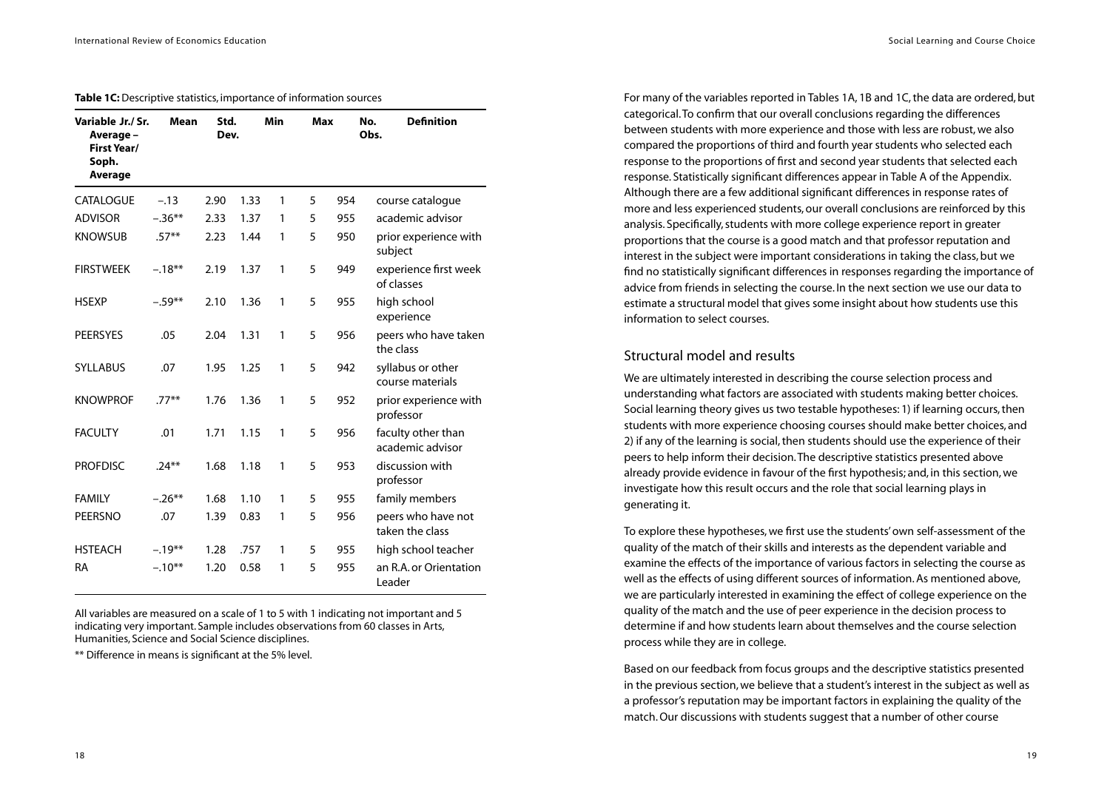#### **Table 1C:**Descriptive statistics, importance of information sources

| Variable Jr./ Sr.<br>Average -<br><b>First Year/</b><br>Soph.<br>Average | <b>Mean</b> | Std.<br>Dev. |      | Min          | <b>Max</b> |     | <b>Definition</b><br>No.<br>Obs.       |
|--------------------------------------------------------------------------|-------------|--------------|------|--------------|------------|-----|----------------------------------------|
| CATALOGUE                                                                | $-.13$      | 2.90         | 1.33 | $\mathbf{1}$ | 5          | 954 | course catalogue                       |
| <b>ADVISOR</b>                                                           | $-.36***$   | 2.33         | 1.37 | 1            | 5          | 955 | academic advisor                       |
| <b>KNOWSUB</b>                                                           | $.57***$    | 2.23         | 1.44 | 1            | 5          | 950 | prior experience with<br>subject       |
| <b>FIRSTWEEK</b>                                                         | $-.18***$   | 2.19         | 1.37 | 1            | 5          | 949 | experience first week<br>of classes    |
| <b>HSEXP</b>                                                             | $-.59**$    | 2.10         | 1.36 | 1            | 5          | 955 | high school<br>experience              |
| <b>PEERSYES</b>                                                          | .05         | 2.04         | 1.31 | 1            | 5          | 956 | peers who have taken<br>the class      |
| <b>SYLLABUS</b>                                                          | .07         | 1.95         | 1.25 | 1            | 5          | 942 | syllabus or other<br>course materials  |
| <b>KNOWPROF</b>                                                          | $.77***$    | 1.76         | 1.36 | 1            | 5          | 952 | prior experience with<br>professor     |
| <b>FACULTY</b>                                                           | .01         | 1.71         | 1.15 | 1            | 5          | 956 | faculty other than<br>academic advisor |
| <b>PROFDISC</b>                                                          | $.24***$    | 1.68         | 1.18 | 1            | 5          | 953 | discussion with<br>professor           |
| <b>FAMILY</b>                                                            | $-.26***$   | 1.68         | 1.10 | 1            | 5          | 955 | family members                         |
| <b>PEERSNO</b>                                                           | .07         | 1.39         | 0.83 | 1            | 5          | 956 | peers who have not<br>taken the class  |
| <b>HSTEACH</b>                                                           | $-.19***$   | 1.28         | .757 | 1            | 5          | 955 | high school teacher                    |
| <b>RA</b>                                                                | $-.10**$    | 1.20         | 0.58 | 1            | 5          | 955 | an R.A. or Orientation<br>Leader       |

All variables are measured on a scale of 1 to 5 with 1 indicating not important and 5 indicating very important. Sample includes observations from 60 classes in Arts, Humanities, Science and Social Science disciplines.

\*\* Difference in means is significant at the 5% level.

For many of the variables reported in Tables 1A, 1B and 1C, the data are ordered, but categorical.To confirm that our overall conclusions regarding the differences between students with more experience and those with less are robust, we also compared the proportions of third and fourth year students who selected each response to the proportions of first and second year students that selected each response. Statistically significant differences appear in Table A of the Appendix. Although there are a few additional significant differences in response rates of more and less experienced students, our overall conclusions are reinforced by this analysis. Specifically, students with more college experience report in greater proportions that the course is a good match and that professor reputation and interest in the subject were important considerations in taking the class, but we find no statistically significant differences in responses regarding the importance of advice from friends in selecting the course. In the next section we use our data to estimate a structural model that gives some insight about how students use this information to select courses.

## Structural model and results

We are ultimately interested in describing the course selection process and understanding what factors are associated with students making better choices. Social learning theory gives us two testable hypotheses: 1) if learning occurs, then students with more experience choosing courses should make better choices, and 2) if any of the learning is social, then students should use the experience of their peers to help inform their decision.The descriptive statistics presented above already provide evidence in favour of the first hypothesis; and, in this section, we investigate how this result occurs and the role that social learning plays in generating it.

To explore these hypotheses, we first use the students' own self-assessment of the quality of the match of their skills and interests as the dependent variable and examine the effects of the importance of various factors in selecting the course as well as the effects of using different sources of information. As mentioned above, we are particularly interested in examining the effect of college experience on the quality of the match and the use of peer experience in the decision process to determine if and how students learn about themselves and the course selection process while they are in college.

Based on our feedback from focus groups and the descriptive statistics presented in the previous section, we believe that a student's interest in the subject as well as a professor's reputation may be important factors in explaining the quality of the match. Our discussions with students suggest that a number of other course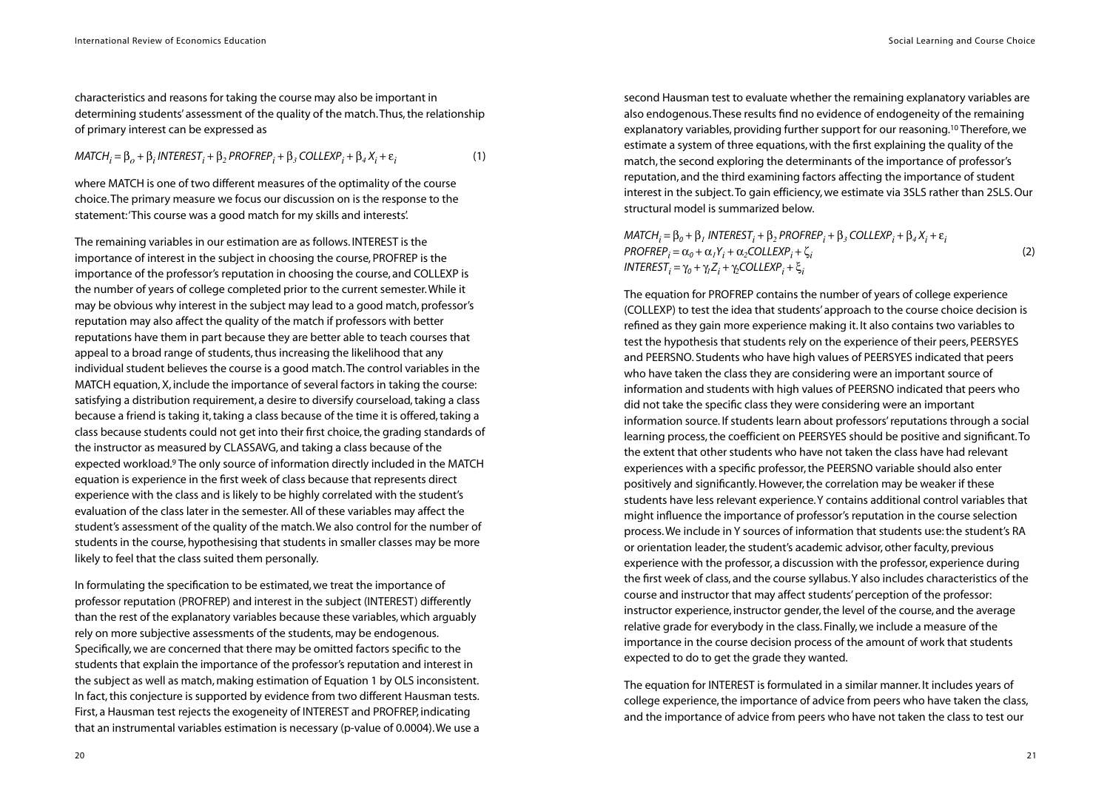characteristics and reasons for taking the course may also be important in determining students' assessment of the quality of the match.Thus, the relationship of primary interest can be expressed as

$$
MATCH_i = \beta_o + \beta_i INTEREST_i + \beta_2 PROFREF_i + \beta_3 COLLEXP_i + \beta_4 X_i + \varepsilon_i
$$
 (1)

where MATCH is one of two different measures of the optimality of the course choice.The primary measure we focus our discussion on is the response to the statement:'This course was a good match for my skills and interests'.

The remaining variables in our estimation are as follows. INTEREST is the importance of interest in the subject in choosing the course, PROFREP is the importance of the professor's reputation in choosing the course, and COLLEXP is the number of years of college completed prior to the current semester.While it may be obvious why interest in the subject may lead to a good match, professor's reputation may also affect the quality of the match if professors with better reputations have them in part because they are better able to teach courses that appeal to a broad range of students, thus increasing the likelihood that any individual student believes the course is a good match.The control variables in the MATCH equation, X, include the importance of several factors in taking the course: satisfying a distribution requirement, a desire to diversify courseload, taking a class because a friend is taking it, taking a class because of the time it is offered, taking a class because students could not get into their first choice, the grading standards of the instructor as measured by CLASSAVG, and taking a class because of the expected workload.9 The only source of information directly included in the MATCH equation is experience in the first week of class because that represents direct experience with the class and is likely to be highly correlated with the student's evaluation of the class later in the semester. All of these variables may affect the student's assessment of the quality of the match.We also control for the number of students in the course, hypothesising that students in smaller classes may be more likely to feel that the class suited them personally.

In formulating the specification to be estimated, we treat the importance of professor reputation (PROFREP) and interest in the subject (INTEREST) differently than the rest of the explanatory variables because these variables, which arguably rely on more subjective assessments of the students, may be endogenous. Specifically, we are concerned that there may be omitted factors specific to the students that explain the importance of the professor's reputation and interest in the subject as well as match, making estimation of Equation 1 by OLS inconsistent. In fact, this conjecture is supported by evidence from two different Hausman tests. First, a Hausman test rejects the exogeneity of INTEREST and PROFREP, indicating that an instrumental variables estimation is necessary (p-value of 0.0004).We use a second Hausman test to evaluate whether the remaining explanatory variables are also endogenous.These results find no evidence of endogeneity of the remaining explanatory variables, providing further support for our reasoning.10 Therefore, we estimate a system of three equations, with the first explaining the quality of the match, the second exploring the determinants of the importance of professor's reputation, and the third examining factors affecting the importance of student interest in the subject.To gain efficiency, we estimate via 3SLS rather than 2SLS. Our structural model is summarized below.

 $MATCH_i = \beta_0 + \beta_1$  *INTEREST*<sub>i</sub> +  $\beta_2$  *PROFREP*<sub>i</sub> +  $\beta_3$  *COLLEXP*<sub>i</sub> +  $\beta_4$  *X*<sub>i</sub> +  $\epsilon_i$  $PROFREF_{i} = \alpha_{0} + \alpha_{i}Y_{i} + \alpha_{2}COLLEXP_{i} + \zeta_{i}$  (2) *INTEREST*<sub>*i*</sub> =  $\gamma_0 + \gamma_1 Z_i + \gamma_2 COLLEXP_i + \xi_i$ 

The equation for PROFREP contains the number of years of college experience (COLLEXP) to test the idea that students' approach to the course choice decision is refined as they gain more experience making it. It also contains two variables to test the hypothesis that students rely on the experience of their peers, PEERSYES and PEERSNO. Students who have high values of PEERSYES indicated that peers who have taken the class they are considering were an important source of information and students with high values of PEERSNO indicated that peers who did not take the specific class they were considering were an important information source. If students learn about professors' reputations through a social learning process, the coefficient on PEERSYES should be positive and significant.To the extent that other students who have not taken the class have had relevant experiences with a specific professor, the PEERSNO variable should also enter positively and significantly. However, the correlation may be weaker if these students have less relevant experience.Y contains additional control variables that might influence the importance of professor's reputation in the course selection process.We include in Y sources of information that students use: the student's RA or orientation leader, the student's academic advisor, other faculty, previous experience with the professor, a discussion with the professor, experience during the first week of class, and the course syllabus.Y also includes characteristics of the course and instructor that may affect students' perception of the professor: instructor experience, instructor gender, the level of the course, and the average relative grade for everybody in the class. Finally, we include a measure of the importance in the course decision process of the amount of work that students expected to do to get the grade they wanted.

The equation for INTEREST is formulated in a similar manner. It includes years of college experience, the importance of advice from peers who have taken the class, and the importance of advice from peers who have not taken the class to test our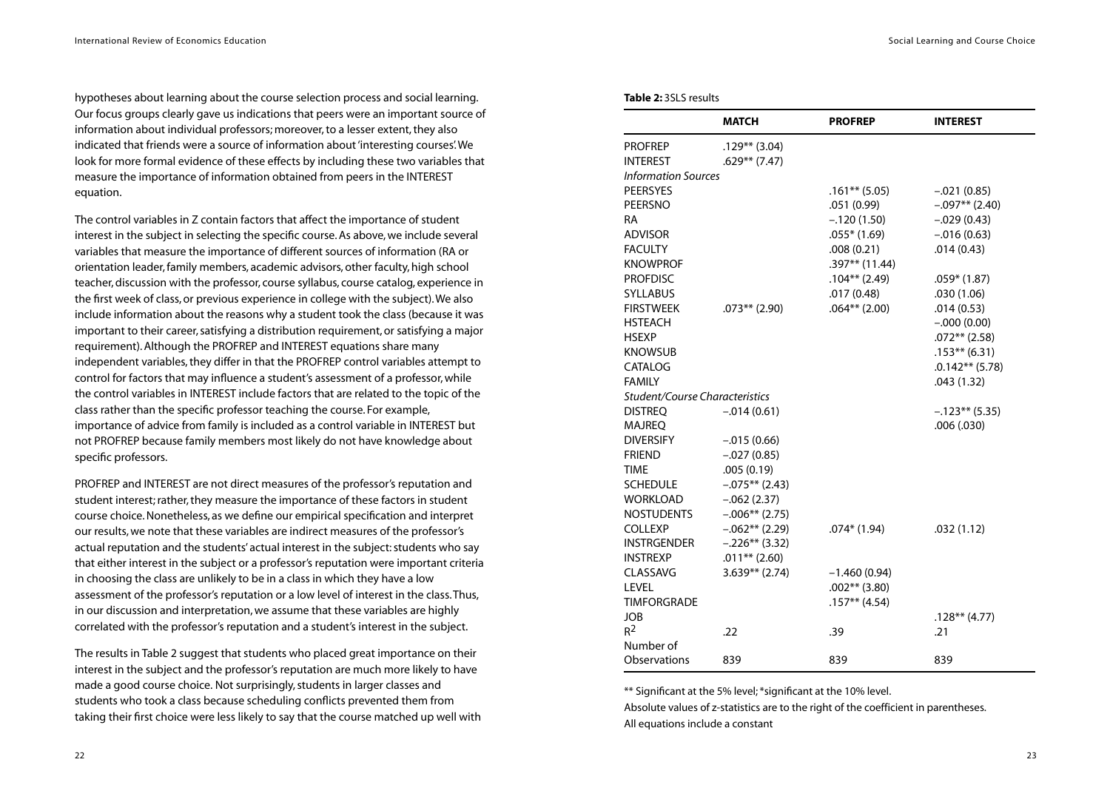hypotheses about learning about the course selection process and social learning. Our focus groups clearly gave us indications that peers were an important source of information about individual professors; moreover, to a lesser extent, they also indicated that friends were a source of information about 'interesting courses'.We look for more formal evidence of these effects by including these two variables that measure the importance of information obtained from peers in the INTEREST equation.

The control variables in Z contain factors that affect the importance of student interest in the subject in selecting the specific course. As above, we include several variables that measure the importance of different sources of information (RA or orientation leader, family members, academic advisors, other faculty, high school teacher, discussion with the professor, course syllabus, course catalog, experience in the first week of class, or previous experience in college with the subject).We also include information about the reasons why a student took the class (because it was important to their career, satisfying a distribution requirement, or satisfying a major requirement). Although the PROFREP and INTEREST equations share many independent variables, they differ in that the PROFREP control variables attempt to control for factors that may influence a student's assessment of a professor, while the control variables in INTEREST include factors that are related to the topic of the class rather than the specific professor teaching the course. For example, importance of advice from family is included as a control variable in INTEREST but not PROFREP because family members most likely do not have knowledge about specific professors.

PROFREP and INTEREST are not direct measures of the professor's reputation and student interest; rather, they measure the importance of these factors in student course choice. Nonetheless, as we define our empirical specification and interpret our results, we note that these variables are indirect measures of the professor's actual reputation and the students' actual interest in the subject: students who say that either interest in the subject or a professor's reputation were important criteria in choosing the class are unlikely to be in a class in which they have a low assessment of the professor's reputation or a low level of interest in the class.Thus, in our discussion and interpretation, we assume that these variables are highly correlated with the professor's reputation and a student's interest in the subject.

The results in Table 2 suggest that students who placed great importance on their interest in the subject and the professor's reputation are much more likely to have made a good course choice. Not surprisingly, students in larger classes and students who took a class because scheduling conflicts prevented them from taking their first choice were less likely to say that the course matched up well with

#### Social Learning and Course Choice

#### **Table 2:** 3SLS results

|                                | <b>MATCH</b>     | <b>PROFREP</b>   | <b>INTEREST</b>   |
|--------------------------------|------------------|------------------|-------------------|
| <b>PROFREP</b>                 | $.129**$ (3.04)  |                  |                   |
| <b>INTEREST</b>                | $.629**$ (7.47)  |                  |                   |
| <b>Information Sources</b>     |                  |                  |                   |
| <b>PFFRSYES</b>                |                  | $.161***$ (5.05) | $-.021(0.85)$     |
| <b>PEERSNO</b>                 |                  | .051(0.99)       | $-.097**$ (2.40)  |
| RA                             |                  | $-.120(1.50)$    | $-.029(0.43)$     |
| <b>ADVISOR</b>                 |                  | $.055*(1.69)$    | $-.016(0.63)$     |
| <b>FACULTY</b>                 |                  | .008(0.21)       | .014(0.43)        |
| <b>KNOWPROF</b>                |                  | $.397**$ (11.44) |                   |
| <b>PROFDISC</b>                |                  | $.104**$ (2.49)  | $.059*(1.87)$     |
| <b>SYLLABUS</b>                |                  | .017(0.48)       | .030(1.06)        |
| <b>FIRSTWEEK</b>               | $.073**$ (2.90)  | $.064**$ (2.00)  | .014(0.53)        |
| <b>HSTEACH</b>                 |                  |                  | $-.000(0.00)$     |
| <b>HSEXP</b>                   |                  |                  | $.072**$ (2.58)   |
| <b>KNOWSUB</b>                 |                  |                  | $.153**$ (6.31)   |
| CATALOG                        |                  |                  | $.0.142**$ (5.78) |
| <b>FAMILY</b>                  |                  |                  | .043(1.32)        |
| Student/Course Characteristics |                  |                  |                   |
| <b>DISTREQ</b>                 | $-.014(0.61)$    |                  | $-.123**$ (5.35)  |
| <b>MAJREO</b>                  |                  |                  | .006(.030)        |
| <b>DIVERSIFY</b>               | $-.015(0.66)$    |                  |                   |
| <b>FRIEND</b>                  | $-.027(0.85)$    |                  |                   |
| <b>TIME</b>                    | .005(0.19)       |                  |                   |
| <b>SCHEDULE</b>                | $-.075**$ (2.43) |                  |                   |
| WORKLOAD                       | $-.062(2.37)$    |                  |                   |
| <b>NOSTUDENTS</b>              | $-.006**$ (2.75) |                  |                   |
| <b>COLLEXP</b>                 | $-.062**$ (2.29) | $.074*(1.94)$    | .032(1.12)        |
| <b>INSTRGENDER</b>             | $-.226**$ (3.32) |                  |                   |
| <b>INSTREXP</b>                | $.011***$ (2.60) |                  |                   |
| <b>CLASSAVG</b>                | $3.639**$ (2.74) | $-1.460(0.94)$   |                   |
| LEVEL                          |                  | $.002**$ (3.80)  |                   |
| <b>TIMFORGRADE</b>             |                  | $.157***$ (4.54) |                   |
| <b>JOB</b>                     |                  |                  | $.128** (4.77)$   |
| R <sup>2</sup>                 | .22              | .39              | .21               |
| Number of                      |                  |                  |                   |
| Observations                   | 839              | 839              | 839               |

\*\* Significant at the 5% level; \*significant at the 10% level.

Absolute values of z-statistics are to the right of the coefficient in parentheses. All equations include a constant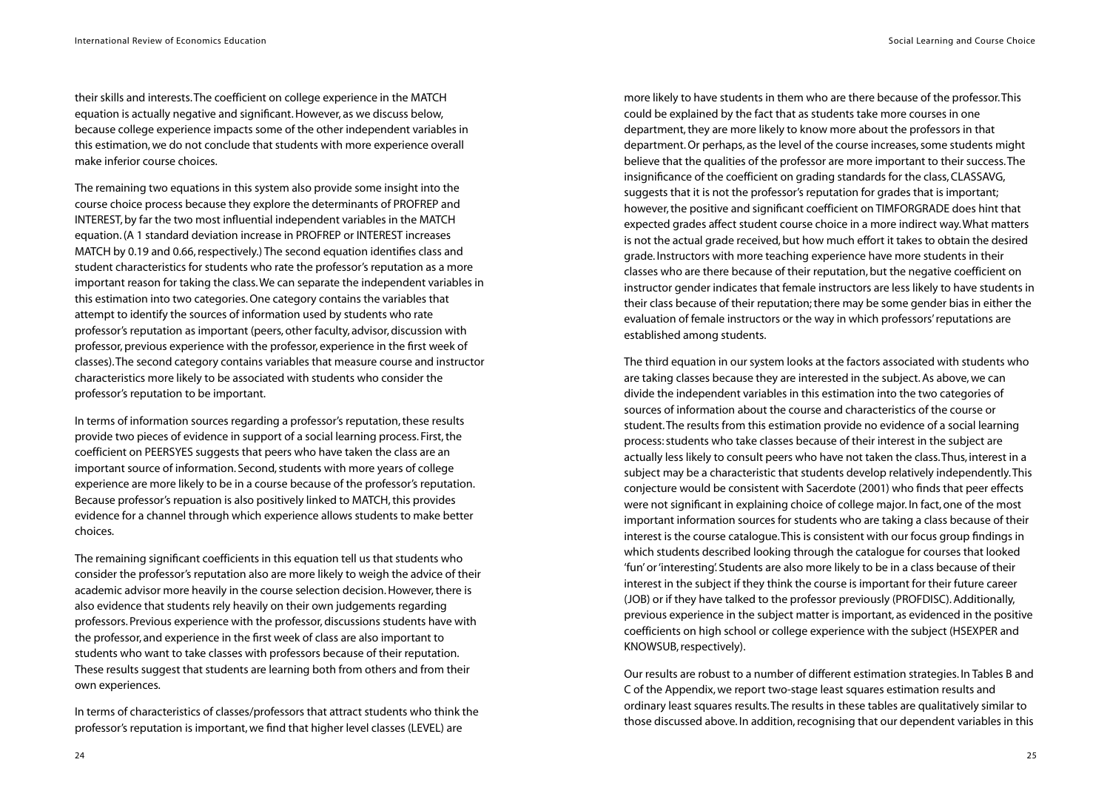their skills and interests.The coefficient on college experience in the MATCH equation is actually negative and significant. However, as we discuss below, because college experience impacts some of the other independent variables in this estimation, we do not conclude that students with more experience overall make inferior course choices.

The remaining two equations in this system also provide some insight into the course choice process because they explore the determinants of PROFREP and INTEREST, by far the two most influential independent variables in the MATCH equation. (A 1 standard deviation increase in PROFREP or INTEREST increases MATCH by 0.19 and 0.66, respectively.) The second equation identifies class and student characteristics for students who rate the professor's reputation as a more important reason for taking the class.We can separate the independent variables in this estimation into two categories. One category contains the variables that attempt to identify the sources of information used by students who rate professor's reputation as important (peers, other faculty, advisor, discussion with professor, previous experience with the professor, experience in the first week of classes).The second category contains variables that measure course and instructor characteristics more likely to be associated with students who consider the professor's reputation to be important.

In terms of information sources regarding a professor's reputation, these results provide two pieces of evidence in support of a social learning process. First, the coefficient on PEERSYES suggests that peers who have taken the class are an important source of information. Second, students with more years of college experience are more likely to be in a course because of the professor's reputation. Because professor's repuation is also positively linked to MATCH, this provides evidence for a channel through which experience allows students to make better choices.

The remaining significant coefficients in this equation tell us that students who consider the professor's reputation also are more likely to weigh the advice of their academic advisor more heavily in the course selection decision. However, there is also evidence that students rely heavily on their own judgements regarding professors. Previous experience with the professor, discussions students have with the professor, and experience in the first week of class are also important to students who want to take classes with professors because of their reputation. These results suggest that students are learning both from others and from their own experiences.

In terms of characteristics of classes/professors that attract students who think the professor's reputation is important, we find that higher level classes (LEVEL) are

more likely to have students in them who are there because of the professor.This could be explained by the fact that as students take more courses in one department, they are more likely to know more about the professors in that department. Or perhaps, as the level of the course increases, some students might believe that the qualities of the professor are more important to their success.The insignificance of the coefficient on grading standards for the class, CLASSAVG, suggests that it is not the professor's reputation for grades that is important; however, the positive and significant coefficient on TIMFORGRADE does hint that expected grades affect student course choice in a more indirect way.What matters is not the actual grade received, but how much effort it takes to obtain the desired grade. Instructors with more teaching experience have more students in their classes who are there because of their reputation, but the negative coefficient on instructor gender indicates that female instructors are less likely to have students in their class because of their reputation; there may be some gender bias in either the evaluation of female instructors or the way in which professors' reputations are established among students.

The third equation in our system looks at the factors associated with students who are taking classes because they are interested in the subject. As above, we can divide the independent variables in this estimation into the two categories of sources of information about the course and characteristics of the course or student.The results from this estimation provide no evidence of a social learning process: students who take classes because of their interest in the subject are actually less likely to consult peers who have not taken the class.Thus, interest in a subject may be a characteristic that students develop relatively independently.This conjecture would be consistent with Sacerdote (2001) who finds that peer effects were not significant in explaining choice of college major. In fact, one of the most important information sources for students who are taking a class because of their interest is the course catalogue.This is consistent with our focus group findings in which students described looking through the catalogue for courses that looked 'fun' or 'interesting'. Students are also more likely to be in a class because of their interest in the subject if they think the course is important for their future career (JOB) or if they have talked to the professor previously (PROFDISC). Additionally, previous experience in the subject matter is important, as evidenced in the positive coefficients on high school or college experience with the subject (HSEXPER and KNOWSUB, respectively).

Our results are robust to a number of different estimation strategies. In Tables B and C of the Appendix, we report two-stage least squares estimation results and ordinary least squares results.The results in these tables are qualitatively similar to those discussed above. In addition, recognising that our dependent variables in this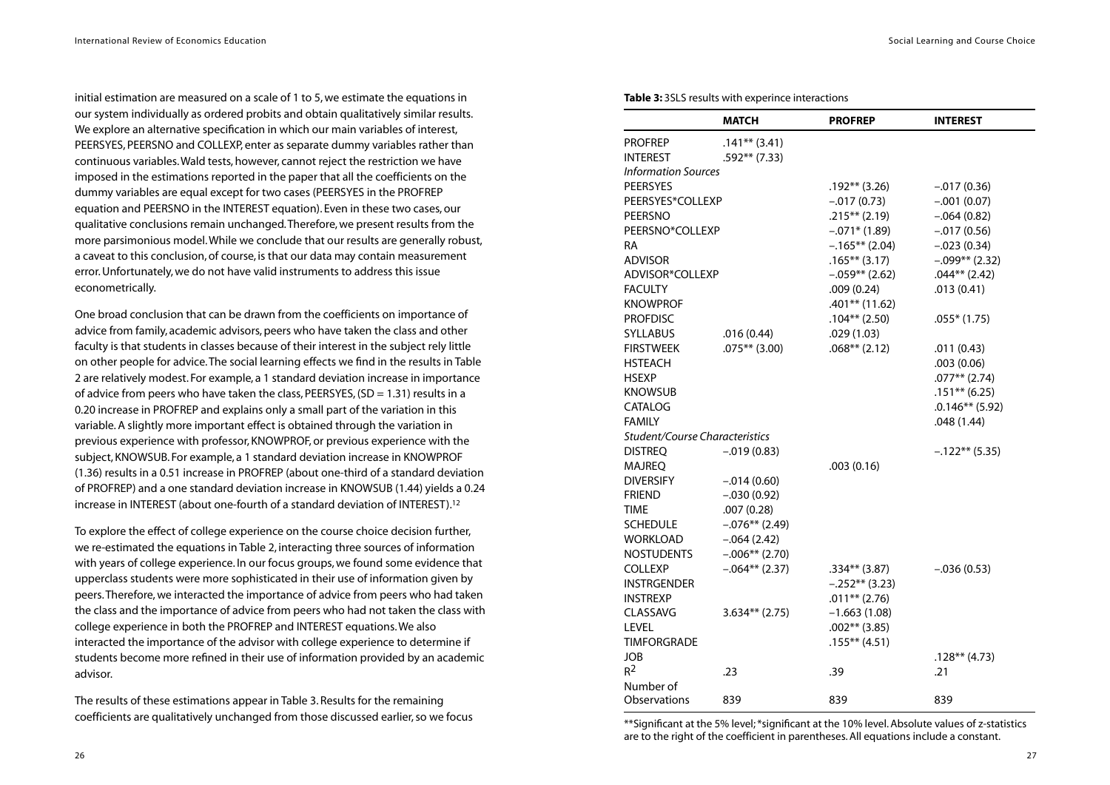initial estimation are measured on a scale of 1 to 5, we estimate the equations in our system individually as ordered probits and obtain qualitatively similar results. We explore an alternative specification in which our main variables of interest, PEERSYES, PEERSNO and COLLEXP, enter as separate dummy variables rather than continuous variables.Wald tests, however, cannot reject the restriction we have imposed in the estimations reported in the paper that all the coefficients on the dummy variables are equal except for two cases (PEERSYES in the PROFREP equation and PEERSNO in the INTEREST equation). Even in these two cases, our qualitative conclusions remain unchanged.Therefore, we present results from the more parsimonious model.While we conclude that our results are generally robust, a caveat to this conclusion, of course, is that our data may contain measurement error. Unfortunately, we do not have valid instruments to address this issue econometrically.

One broad conclusion that can be drawn from the coefficients on importance of advice from family, academic advisors, peers who have taken the class and other faculty is that students in classes because of their interest in the subject rely little on other people for advice.The social learning effects we find in the results in Table 2 are relatively modest. For example, a 1 standard deviation increase in importance of advice from peers who have taken the class, PEERSYES,  $(SD = 1.31)$  results in a 0.20 increase in PROFREP and explains only a small part of the variation in this variable. A slightly more important effect is obtained through the variation in previous experience with professor, KNOWPROF, or previous experience with the subject, KNOWSUB. For example, a 1 standard deviation increase in KNOWPROF (1.36) results in a 0.51 increase in PROFREP (about one-third of a standard deviation of PROFREP) and a one standard deviation increase in KNOWSUB (1.44) yields a 0.24 increase in INTEREST (about one-fourth of a standard deviation of INTEREST).12

To explore the effect of college experience on the course choice decision further, we re-estimated the equations in Table 2, interacting three sources of information with years of college experience. In our focus groups, we found some evidence that upperclass students were more sophisticated in their use of information given by peers.Therefore, we interacted the importance of advice from peers who had taken the class and the importance of advice from peers who had not taken the class with college experience in both the PROFREP and INTEREST equations.We also interacted the importance of the advisor with college experience to determine if students become more refined in their use of information provided by an academic advisor.

The results of these estimations appear in Table 3. Results for the remaining coefficients are qualitatively unchanged from those discussed earlier, so we focus **Table 3:** 3SLS results with experince interactions

|                                       | <b>MATCH</b>     | <b>PROFREP</b>   | <b>INTEREST</b>   |
|---------------------------------------|------------------|------------------|-------------------|
| <b>PROFREP</b>                        | $.141***$ (3.41) |                  |                   |
| <b>INTEREST</b>                       | $.592**$ (7.33)  |                  |                   |
| <b>Information Sources</b>            |                  |                  |                   |
| <b>PEERSYES</b>                       |                  | $.192**$ (3.26)  | $-.017(0.36)$     |
| PEERSYES*COLLEXP                      |                  | $-.017(0.73)$    | $-.001(0.07)$     |
| <b>PEERSNO</b>                        |                  | $.215**$ (2.19)  | $-.064(0.82)$     |
| PEERSNO*COLLEXP                       |                  | $-.071*$ (1.89)  | $-.017(0.56)$     |
| RA                                    |                  | $-.165***(2.04)$ | $-.023(0.34)$     |
| <b>ADVISOR</b>                        |                  | $.165***(3.17)$  | $-.099**$ (2.32)  |
| ADVISOR*COLLEXP                       |                  | $-.059**$ (2.62) | $.044**$ (2.42)   |
| <b>FACULTY</b>                        |                  | .009(0.24)       | .013(0.41)        |
| <b>KNOWPROF</b>                       |                  | $.401**$ (11.62) |                   |
| <b>PROFDISC</b>                       |                  | $.104**$ (2.50)  | $.055*(1.75)$     |
| <b>SYLLABUS</b>                       | .016(0.44)       | .029(1.03)       |                   |
| <b>FIRSTWEEK</b>                      | $.075**$ (3.00)  | $.068**$ (2.12)  | .011(0.43)        |
| <b>HSTEACH</b>                        |                  |                  | .003(0.06)        |
| <b>HSEXP</b>                          |                  |                  | $.077**$ (2.74)   |
| <b>KNOWSUB</b>                        |                  |                  | $.151**$ (6.25)   |
| CATALOG                               |                  |                  | $.0.146**$ (5.92) |
| <b>FAMILY</b>                         |                  |                  | .048(1.44)        |
| <b>Student/Course Characteristics</b> |                  |                  |                   |
| <b>DISTREQ</b>                        | $-.019(0.83)$    |                  | $-.122**$ (5.35)  |
| <b>MAJREO</b>                         |                  | .003(0.16)       |                   |
| <b>DIVERSIFY</b>                      | $-.014(0.60)$    |                  |                   |
| <b>FRIEND</b>                         | $-.030(0.92)$    |                  |                   |
| <b>TIME</b>                           | .007(0.28)       |                  |                   |
| <b>SCHEDULE</b>                       | $-.076**$ (2.49) |                  |                   |
| <b>WORKLOAD</b>                       | $-.064(2.42)$    |                  |                   |
| <b>NOSTUDENTS</b>                     | $-.006**$ (2.70) |                  |                   |
| <b>COLLEXP</b>                        | $-.064**$ (2.37) | .334** (3.87)    | $-.036(0.53)$     |
| <b>INSTRGENDER</b>                    |                  | $-.252**$ (3.23) |                   |
| <b>INSTREXP</b>                       |                  | $.011***$ (2.76) |                   |
| <b>CLASSAVG</b>                       | $3.634**$ (2.75) | $-1.663(1.08)$   |                   |
| LEVEL                                 |                  | $.002**$ (3.85)  |                   |
| <b>TIMFORGRADE</b>                    |                  | $.155***$ (4.51) |                   |
| <b>JOB</b>                            |                  |                  | $.128**$ (4.73)   |
| $R^2$                                 | .23              | .39              | .21               |
| Number of                             |                  |                  |                   |
| Observations                          | 839              | 839              | 839               |

\*\*Significant at the 5% level; \*significant at the 10% level. Absolute values of z-statistics are to the right of the coefficient in parentheses. All equations include a constant.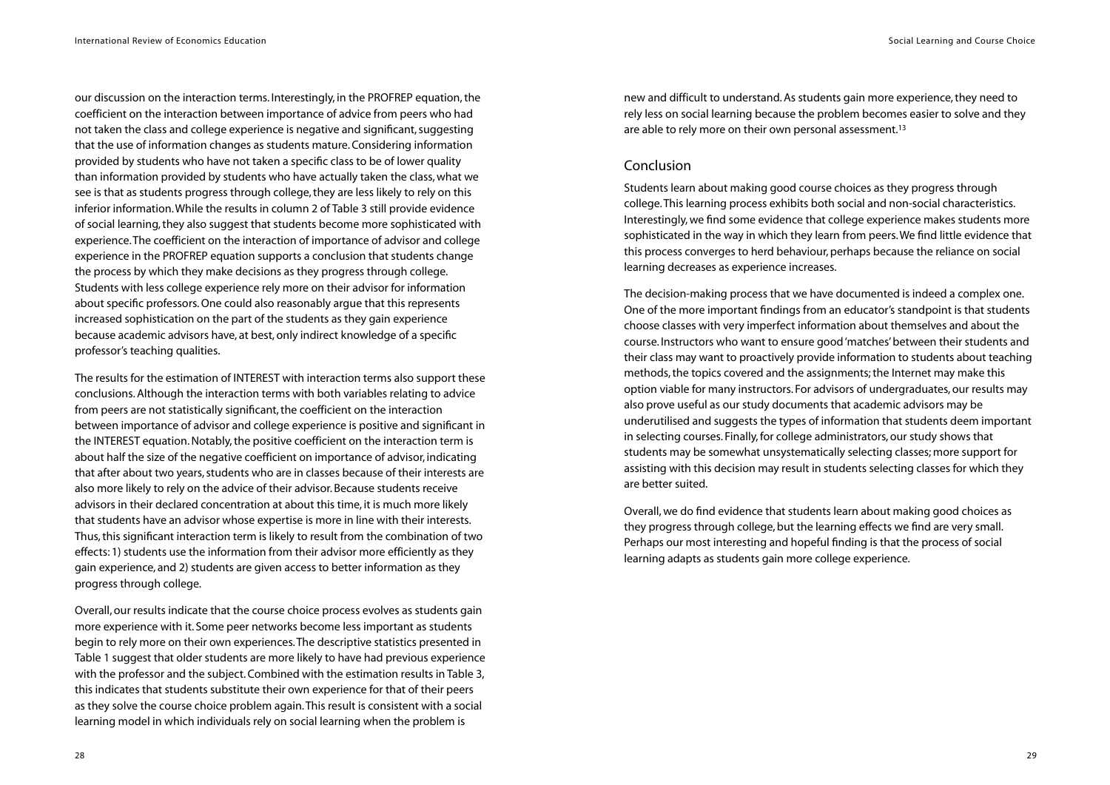our discussion on the interaction terms. Interestingly, in the PROFREP equation, the coefficient on the interaction between importance of advice from peers who had not taken the class and college experience is negative and significant, suggesting that the use of information changes as students mature. Considering information provided by students who have not taken a specific class to be of lower quality than information provided by students who have actually taken the class, what we see is that as students progress through college, they are less likely to rely on this inferior information.While the results in column 2 of Table 3 still provide evidence of social learning, they also suggest that students become more sophisticated with experience.The coefficient on the interaction of importance of advisor and college experience in the PROFREP equation supports a conclusion that students change the process by which they make decisions as they progress through college. Students with less college experience rely more on their advisor for information about specific professors. One could also reasonably argue that this represents increased sophistication on the part of the students as they gain experience because academic advisors have, at best, only indirect knowledge of a specific professor's teaching qualities.

The results for the estimation of INTEREST with interaction terms also support these conclusions. Although the interaction terms with both variables relating to advice from peers are not statistically significant, the coefficient on the interaction between importance of advisor and college experience is positive and significant in the INTEREST equation. Notably, the positive coefficient on the interaction term is about half the size of the negative coefficient on importance of advisor, indicating that after about two years, students who are in classes because of their interests are also more likely to rely on the advice of their advisor. Because students receive advisors in their declared concentration at about this time, it is much more likely that students have an advisor whose expertise is more in line with their interests. Thus, this significant interaction term is likely to result from the combination of two effects: 1) students use the information from their advisor more efficiently as they gain experience, and 2) students are given access to better information as they progress through college.

Overall, our results indicate that the course choice process evolves as students gain more experience with it. Some peer networks become less important as students begin to rely more on their own experiences.The descriptive statistics presented in Table 1 suggest that older students are more likely to have had previous experience with the professor and the subject. Combined with the estimation results in Table 3, this indicates that students substitute their own experience for that of their peers as they solve the course choice problem again.This result is consistent with a social learning model in which individuals rely on social learning when the problem is

new and difficult to understand. As students gain more experience, they need to rely less on social learning because the problem becomes easier to solve and they are able to rely more on their own personal assessment.13

# Conclusion

Students learn about making good course choices as they progress through college.This learning process exhibits both social and non-social characteristics. Interestingly, we find some evidence that college experience makes students more sophisticated in the way in which they learn from peers.We find little evidence that this process converges to herd behaviour, perhaps because the reliance on social learning decreases as experience increases.

The decision-making process that we have documented is indeed a complex one. One of the more important findings from an educator's standpoint is that students choose classes with very imperfect information about themselves and about the course. Instructors who want to ensure good 'matches' between their students and their class may want to proactively provide information to students about teaching methods, the topics covered and the assignments; the Internet may make this option viable for many instructors. For advisors of undergraduates, our results may also prove useful as our study documents that academic advisors may be underutilised and suggests the types of information that students deem important in selecting courses. Finally, for college administrators, our study shows that students may be somewhat unsystematically selecting classes; more support for assisting with this decision may result in students selecting classes for which they are better suited.

Overall, we do find evidence that students learn about making good choices as they progress through college, but the learning effects we find are very small. Perhaps our most interesting and hopeful finding is that the process of social learning adapts as students gain more college experience.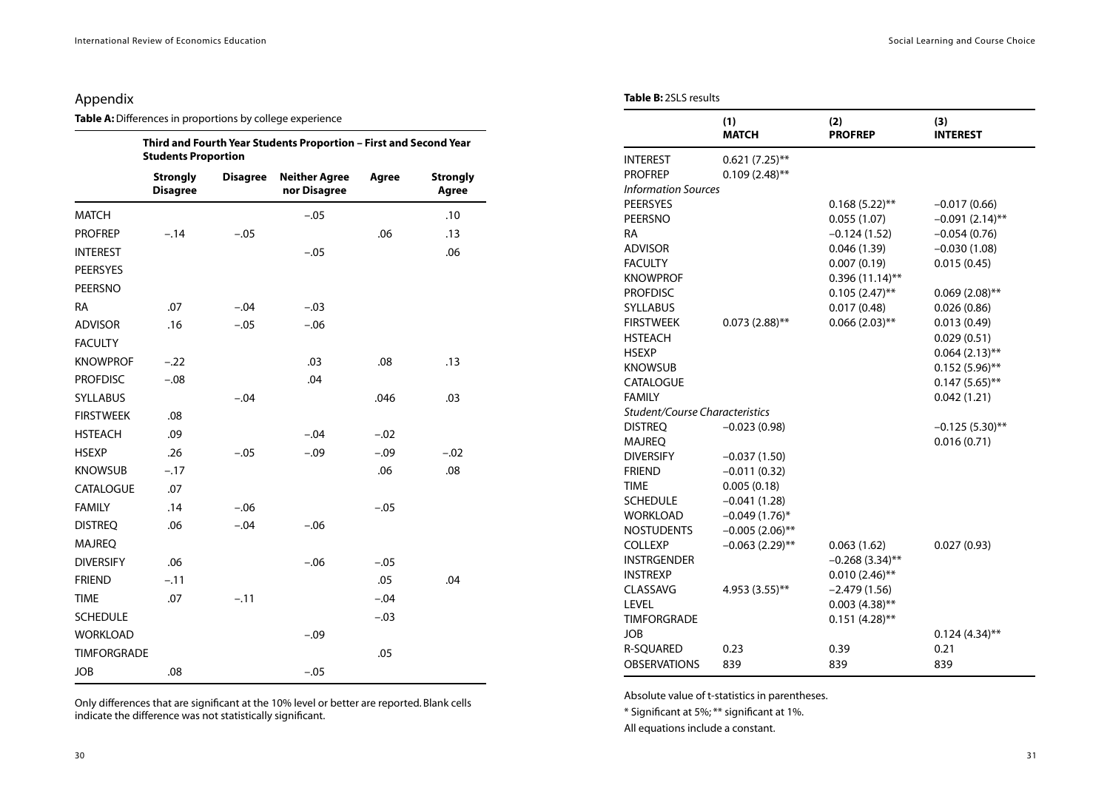# Appendix

**Table A:**Differences in proportions by college experience

|                    | Third and Fourth Year Students Proportion - First and Second Year<br><b>Students Proportion</b> |                 |                                      |        |                          |
|--------------------|-------------------------------------------------------------------------------------------------|-----------------|--------------------------------------|--------|--------------------------|
|                    | <b>Strongly</b><br><b>Disagree</b>                                                              | <b>Disagree</b> | <b>Neither Agree</b><br>nor Disagree | Agree  | <b>Strongly</b><br>Agree |
| <b>MATCH</b>       |                                                                                                 |                 | $-.05$                               |        | .10                      |
| <b>PROFREP</b>     | $-.14$                                                                                          | $-.05$          |                                      | .06    | .13                      |
| <b>INTEREST</b>    |                                                                                                 |                 | $-.05$                               |        | .06                      |
| <b>PEERSYES</b>    |                                                                                                 |                 |                                      |        |                          |
| <b>PEERSNO</b>     |                                                                                                 |                 |                                      |        |                          |
| <b>RA</b>          | .07                                                                                             | $-.04$          | $-.03$                               |        |                          |
| <b>ADVISOR</b>     | .16                                                                                             | $-.05$          | $-.06$                               |        |                          |
| <b>FACULTY</b>     |                                                                                                 |                 |                                      |        |                          |
| <b>KNOWPROF</b>    | $-.22$                                                                                          |                 | .03                                  | .08    | .13                      |
| <b>PROFDISC</b>    | $-.08$                                                                                          |                 | .04                                  |        |                          |
| <b>SYLLABUS</b>    |                                                                                                 | $-.04$          |                                      | .046   | .03                      |
| <b>FIRSTWEEK</b>   | .08                                                                                             |                 |                                      |        |                          |
| <b>HSTEACH</b>     | .09                                                                                             |                 | $-.04$                               | $-.02$ |                          |
| <b>HSEXP</b>       | .26                                                                                             | $-.05$          | $-.09$                               | $-.09$ | $-.02$                   |
| <b>KNOWSUB</b>     | $-.17$                                                                                          |                 |                                      | .06    | .08                      |
| <b>CATALOGUE</b>   | .07                                                                                             |                 |                                      |        |                          |
| <b>FAMILY</b>      | .14                                                                                             | $-.06$          |                                      | $-.05$ |                          |
| <b>DISTREQ</b>     | .06                                                                                             | $-.04$          | $-.06$                               |        |                          |
| <b>MAJREQ</b>      |                                                                                                 |                 |                                      |        |                          |
| <b>DIVERSIFY</b>   | .06                                                                                             |                 | $-.06$                               | $-.05$ |                          |
| <b>FRIEND</b>      | $-.11$                                                                                          |                 |                                      | .05    | .04                      |
| <b>TIME</b>        | .07                                                                                             | $-.11$          |                                      | $-.04$ |                          |
| <b>SCHEDULE</b>    |                                                                                                 |                 |                                      | $-.03$ |                          |
| <b>WORKLOAD</b>    |                                                                                                 |                 | $-.09$                               |        |                          |
| <b>TIMFORGRADE</b> |                                                                                                 |                 |                                      | .05    |                          |
| <b>JOB</b>         | .08                                                                                             |                 | $-.05$                               |        |                          |

Only differences that are significant at the 10% level or better are reported. Blank cells indicate the difference was not statistically significant.

### **Table B:** 2SLS results

|                                | (1)<br><b>MATCH</b> | (2)<br><b>PROFREP</b> | (3)<br><b>INTEREST</b> |
|--------------------------------|---------------------|-----------------------|------------------------|
| <b>INTEREST</b>                | $0.621(7.25)$ **    |                       |                        |
| <b>PROFREP</b>                 | $0.109(2.48)$ **    |                       |                        |
| <b>Information Sources</b>     |                     |                       |                        |
| <b>PEERSYES</b>                |                     | $0.168(5.22)$ **      | $-0.017(0.66)$         |
| <b>PEERSNO</b>                 |                     | 0.055(1.07)           | $-0.091(2.14)$ **      |
| RA                             |                     | $-0.124(1.52)$        | $-0.054(0.76)$         |
| <b>ADVISOR</b>                 |                     | 0.046(1.39)           | $-0.030(1.08)$         |
| <b>FACULTY</b>                 |                     | 0.007(0.19)           | 0.015(0.45)            |
| <b>KNOWPROF</b>                |                     | $0.396(11.14)$ **     |                        |
| <b>PROFDISC</b>                |                     | $0.105(2.47)$ **      | $0.069(2.08)$ **       |
| <b>SYLLABUS</b>                |                     | 0.017(0.48)           | 0.026(0.86)            |
| <b>FIRSTWEEK</b>               | $0.073(2.88)$ **    | $0.066(2.03)$ **      | 0.013(0.49)            |
| <b>HSTEACH</b>                 |                     |                       | 0.029(0.51)            |
| <b>HSEXP</b>                   |                     |                       | $0.064(2.13)$ **       |
| <b>KNOWSUB</b>                 |                     |                       | $0.152(5.96)$ **       |
| <b>CATALOGUE</b>               |                     |                       | $0.147(5.65)$ **       |
| <b>FAMILY</b>                  |                     |                       | 0.042(1.21)            |
| Student/Course Characteristics |                     |                       |                        |
| <b>DISTREQ</b>                 | $-0.023(0.98)$      |                       | $-0.125(5.30)$ **      |
| <b>MAJREQ</b>                  |                     |                       | 0.016(0.71)            |
| <b>DIVERSIFY</b>               | $-0.037(1.50)$      |                       |                        |
| <b>FRIEND</b>                  | $-0.011(0.32)$      |                       |                        |
| <b>TIME</b>                    | 0.005(0.18)         |                       |                        |
| <b>SCHEDULE</b>                | $-0.041(1.28)$      |                       |                        |
| <b>WORKLOAD</b>                | $-0.049(1.76)$ *    |                       |                        |
| <b>NOSTUDENTS</b>              | $-0.005(2.06)$ **   |                       |                        |
| <b>COLLEXP</b>                 | $-0.063(2.29)$ **   | 0.063(1.62)           | 0.027(0.93)            |
| <b>INSTRGENDER</b>             |                     | $-0.268(3.34)$ **     |                        |
| <b>INSTREXP</b>                |                     | $0.010(2.46)$ **      |                        |
| <b>CLASSAVG</b>                | 4.953 (3.55)**      | $-2.479(1.56)$        |                        |
| LEVEL                          |                     | $0.003(4.38)$ **      |                        |
| <b>TIMFORGRADE</b>             |                     | $0.151(4.28)$ **      |                        |
| <b>JOB</b>                     |                     |                       | $0.124(4.34)$ **       |
| R-SQUARED                      | 0.23                | 0.39                  | 0.21                   |
| <b>OBSERVATIONS</b>            | 839                 | 839                   | 839                    |

Absolute value of t-statistics in parentheses.

\* Significant at 5%; \*\* significant at 1%.

All equations include a constant.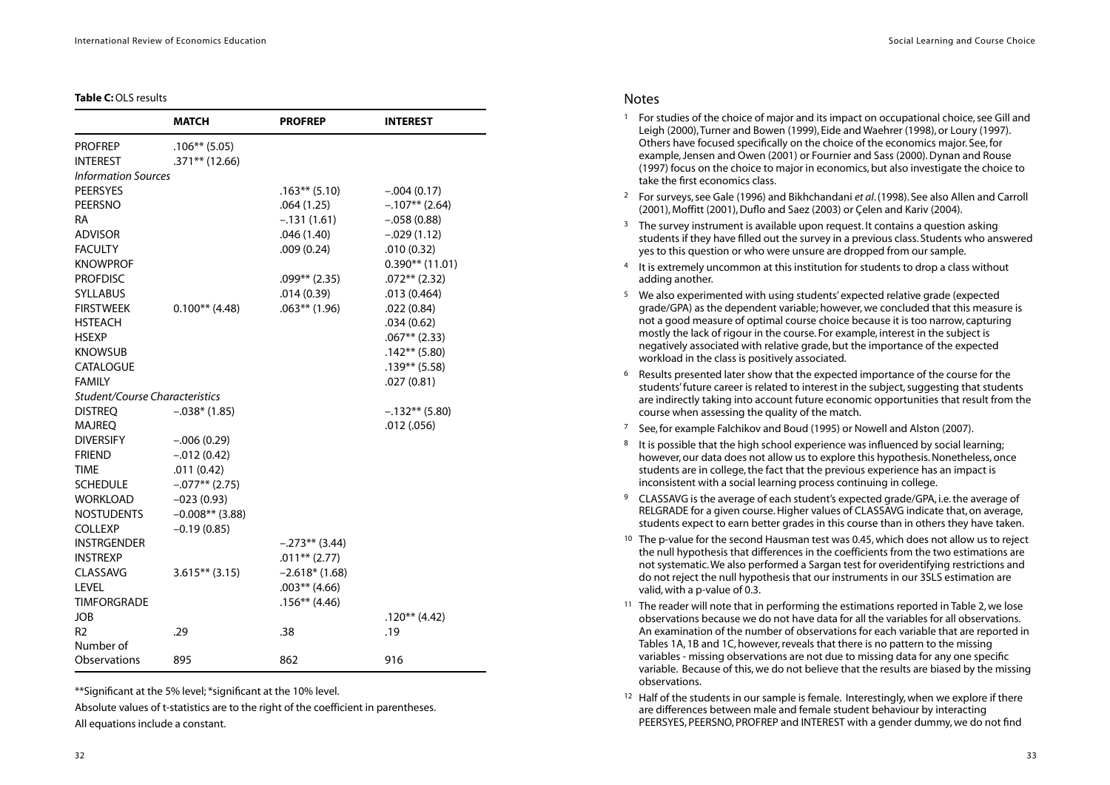#### **Table C:**OLS results

|                                | <b>MATCH</b>      | <b>PROFREP</b>   | <b>INTEREST</b>   |
|--------------------------------|-------------------|------------------|-------------------|
| <b>PROFREP</b>                 | $.106**$ (5.05)   |                  |                   |
| <b>INTEREST</b>                | $.371**$ (12.66)  |                  |                   |
| <b>Information Sources</b>     |                   |                  |                   |
| <b>PEERSYES</b>                |                   | $.163**$ (5.10)  | $-.004(0.17)$     |
| <b>PEERSNO</b>                 |                   | .064(1.25)       | $-.107**$ (2.64)  |
| RA                             |                   | $-.131(1.61)$    | $-.058(0.88)$     |
| <b>ADVISOR</b>                 |                   | .046(1.40)       | $-.029(1.12)$     |
| <b>FACULTY</b>                 |                   | .009(0.24)       | .010(0.32)        |
| <b>KNOWPROF</b>                |                   |                  | $0.390**$ (11.01) |
| <b>PROFDISC</b>                |                   | $.099**$ (2.35)  | $.072**$ (2.32)   |
| <b>SYLLABUS</b>                |                   | .014(0.39)       | .013(0.464)       |
| <b>FIRSTWEEK</b>               | $0.100**$ (4.48)  | $.063**$ (1.96)  | .022(0.84)        |
| <b>HSTEACH</b>                 |                   |                  | .034(0.62)        |
| <b>HSEXP</b>                   |                   |                  | $.067**$ (2.33)   |
| <b>KNOWSUB</b>                 |                   |                  | $.142**$ (5.80)   |
| <b>CATALOGUE</b>               |                   |                  | $.139**$ (5.58)   |
| <b>FAMILY</b>                  |                   |                  | .027(0.81)        |
| Student/Course Characteristics |                   |                  |                   |
| <b>DISTREQ</b>                 | $-.038*(1.85)$    |                  | $-.132**$ (5.80)  |
| <b>MAJREO</b>                  |                   |                  | .012(.056)        |
| <b>DIVERSIFY</b>               | $-.006(0.29)$     |                  |                   |
| <b>FRIEND</b>                  | $-.012(0.42)$     |                  |                   |
| <b>TIME</b>                    | .011(0.42)        |                  |                   |
| <b>SCHEDULE</b>                | $-.077**$ (2.75)  |                  |                   |
| <b>WORKLOAD</b>                | $-023(0.93)$      |                  |                   |
| <b>NOSTUDENTS</b>              | $-0.008**$ (3.88) |                  |                   |
| <b>COLLEXP</b>                 | $-0.19(0.85)$     |                  |                   |
| <b>INSTRGENDER</b>             |                   | $-.273**$ (3.44) |                   |
| <b>INSTREXP</b>                |                   | $.011***$ (2.77) |                   |
| <b>CLASSAVG</b>                | $3.615**$ (3.15)  | $-2.618*(1.68)$  |                   |
| LEVEL                          |                   | $.003**$ (4.66)  |                   |
| <b>TIMFORGRADE</b>             |                   | $.156**$ (4.46)  |                   |
| <b>JOB</b>                     |                   |                  | $.120**$ (4.42)   |
| R <sub>2</sub>                 | .29               | .38              | .19               |
| Number of                      |                   |                  |                   |
| Observations                   | 895               | 862              | 916               |

\*\*Significant at the 5% level; \*significant at the 10% level.

Absolute values of t-statistics are to the right of the coefficient in parentheses. All equations include a constant.

## **Notes**

- 1 For studies of the choice of major and its impact on occupational choice, see Gill and Leigh (2000),Turner and Bowen (1999), Eide and Waehrer (1998), or Loury (1997). Others have focused specifically on the choice of the economics major. See, for example, Jensen and Owen (2001) or Fournier and Sass (2000). Dynan and Rouse (1997) focus on the choice to major in economics, but also investigate the choice to take the first economics class.
- <sup>2</sup> For surveys, see Gale (1996) and Bikhchandani *et al*. (1998). See also Allen and Carroll (2001), Moffitt (2001), Duflo and Saez (2003) or Çelen and Kariv (2004).
- $3$  The survey instrument is available upon request. It contains a question asking students if they have filled out the survey in a previous class. Students who answered yes to this question or who were unsure are dropped from our sample.
- 4 It is extremely uncommon at this institution for students to drop a class without adding another.
- 5 We also experimented with using students' expected relative grade (expected grade/GPA) as the dependent variable; however, we concluded that this measure is not a good measure of optimal course choice because it is too narrow, capturing mostly the lack of rigour in the course. For example, interest in the subject is negatively associated with relative grade, but the importance of the expected workload in the class is positively associated.
- 6 Results presented later show that the expected importance of the course for the students' future career is related to interest in the subject, suggesting that students are indirectly taking into account future economic opportunities that result from the course when assessing the quality of the match.
- 7 See, for example Falchikov and Boud (1995) or Nowell and Alston (2007).
- <sup>8</sup> It is possible that the high school experience was influenced by social learning; however, our data does not allow us to explore this hypothesis. Nonetheless, once students are in college, the fact that the previous experience has an impact is inconsistent with a social learning process continuing in college.
- <sup>9</sup> CLASSAVG is the average of each student's expected grade/GPA, i.e. the average of RELGRADE for a given course. Higher values of CLASSAVG indicate that, on average, students expect to earn better grades in this course than in others they have taken.
- <sup>10</sup> The p-value for the second Hausman test was 0.45, which does not allow us to reject the null hypothesis that differences in the coefficients from the two estimations are not systematic.We also performed a Sargan test for overidentifying restrictions and do not reject the null hypothesis that our instruments in our 3SLS estimation are valid,with a p-value of 0.3.
- 11 The reader will note that in performing the estimations reported in Table 2, we lose observations because we do not have data for all the variables for all observations. An examination of the number of observations for each variable that are reported in Tables 1A, 1B and 1C, however, reveals that there is no pattern to the missing variables - missing observations are not due to missing data for any one specific variable. Because of this, we do not believe that the results are biased by the missing observations.
- <sup>12</sup> Half of the students in our sample is female. Interestingly, when we explore if there are differences between male and female student behaviour by interacting PEERSYES, PEERSNO, PROFREP and INTEREST with a gender dummy, we do not find